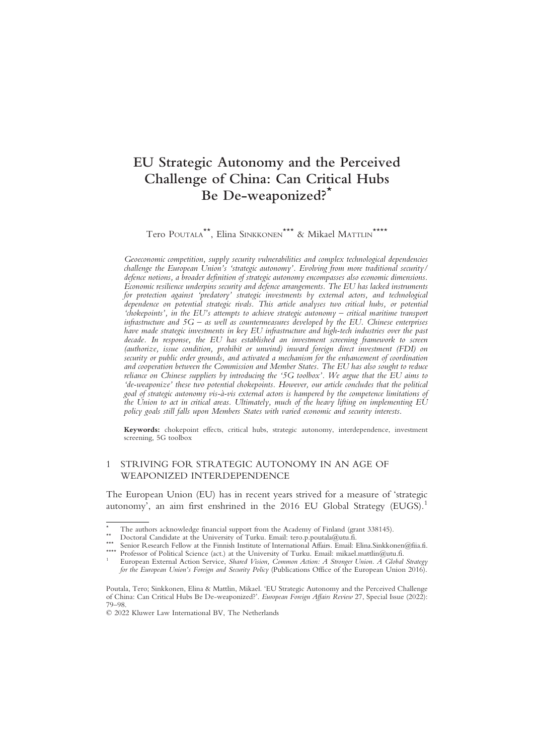# EU Strategic Autonomy and the Perceived Challenge of China: Can Critical Hubs Be De-weaponized?\*

Tero POUTALA\*\*, Elina SINKKONEN\*\*\* & Mikael MATTLIN\*\*\*\*

Geoeconomic competition, supply security vulnerabilities and complex technological dependencies challenge the European Union's 'strategic autonomy'. Evolving from more traditional security/ defence notions, a broader definition of strategic autonomy encompasses also economic dimensions. Economic resilience underpins security and defence arrangements. The EU has lacked instruments for protection against 'predatory' strategic investments by external actors, and technological dependence on potential strategic rivals. This article analyses two critical hubs, or potential 'chokepoints', in the EU's attempts to achieve strategic autonomy – critical maritime transport infrastructure and  $5G -$  as well as countermeasures developed by the EU. Chinese enterprises have made strategic investments in key EU infrastructure and high-tech industries over the past decade. In response, the EU has established an investment screening framework to screen (authorize, issue condition, prohibit or unwind) inward foreign direct investment (FDI) on security or public order grounds, and activated a mechanism for the enhancement of coordination and cooperation between the Commission and Member States. The EU has also sought to reduce reliance on Chinese suppliers by introducing the '5G toolbox'. We argue that the EU aims to 'de-weaponize' these two potential chokepoints. However, our article concludes that the political goal of strategic autonomy vis-à-vis external actors is hampered by the competence limitations of the Union to act in critical areas. Ultimately, much of the heavy lifting on implementing EU policy goals still falls upon Members States with varied economic and security interests.

Keywords: chokepoint effects, critical hubs, strategic autonomy, interdependence, investment screening, 5G toolbox

# 1 STRIVING FOR STRATEGIC AUTONOMY IN AN AGE OF WEAPONIZED INTERDEPENDENCE

The European Union (EU) has in recent years strived for a measure of 'strategic autonomy', an aim first enshrined in the 2016 EU Global Strategy (EUGS).<sup>1</sup>

<sup>\*</sup> The authors acknowledge financial support from the Academy of Finland (grant 338145).<br>\* Doctoral Candidate at the University of Turku. Email: tero.p.poutala@utu.fi.<br>\* Senior Research Fellow at the Finnish Institute of In

for the European Union's Foreign and Security Policy (Publications Office of the European Union 2016).

Poutala, Tero; Sinkkonen, Elina & Mattlin, Mikael. 'EU Strategic Autonomy and the Perceived Challenge of China: Can Critical Hubs Be De-weaponized?'. European Foreign Affairs Review 27, Special Issue (2022): 79–98.

<sup>© 2022</sup> Kluwer Law International BV, The Netherlands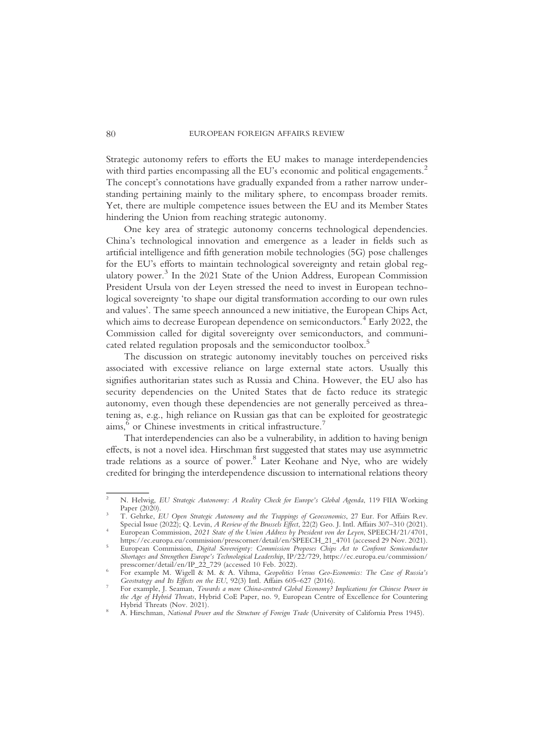Strategic autonomy refers to efforts the EU makes to manage interdependencies with third parties encompassing all the EU's economic and political engagements.<sup>2</sup> The concept's connotations have gradually expanded from a rather narrow understanding pertaining mainly to the military sphere, to encompass broader remits. Yet, there are multiple competence issues between the EU and its Member States hindering the Union from reaching strategic autonomy.

One key area of strategic autonomy concerns technological dependencies. China's technological innovation and emergence as a leader in fields such as artificial intelligence and fifth generation mobile technologies (5G) pose challenges for the EU's efforts to maintain technological sovereignty and retain global regulatory power.<sup>3</sup> In the 2021 State of the Union Address, European Commission President Ursula von der Leyen stressed the need to invest in European technological sovereignty 'to shape our digital transformation according to our own rules and values'. The same speech announced a new initiative, the European Chips Act, which aims to decrease European dependence on semiconductors.<sup>4</sup> Early 2022, the Commission called for digital sovereignty over semiconductors, and communicated related regulation proposals and the semiconductor toolbox.<sup>5</sup>

The discussion on strategic autonomy inevitably touches on perceived risks associated with excessive reliance on large external state actors. Usually this signifies authoritarian states such as Russia and China. However, the EU also has security dependencies on the United States that de facto reduce its strategic autonomy, even though these dependencies are not generally perceived as threatening as, e.g., high reliance on Russian gas that can be exploited for geostrategic aims,<sup>6</sup> or Chinese investments in critical infrastructure.<sup>7</sup>

That interdependencies can also be a vulnerability, in addition to having benign effects, is not a novel idea. Hirschman first suggested that states may use asymmetric trade relations as a source of power.<sup>8</sup> Later Keohane and Nye, who are widely credited for bringing the interdependence discussion to international relations theory

N. Helwig, EU Strategic Autonomy: A Reality Check for Europe's Global Agenda, 119 FIIA Working<br>Paper (2020).

T. Gehrke, EU Open Strategic Autonomy and the Trappings of Geoeconomics, 27 Eur. For Affairs Rev. Special Issue (2022); Q. Levin, A Review of the Brussels Effect, 22(2) Geo. J. Intl. Affairs 307–310 (2021). European Commission, 2021 State of the Union Address by President von der Leyen, SPEECH/21/4701, https://ec.europ

https://ec.europa.eu/commission/presscorner/detail/en/SPEECH\_21\_4701 (accessed 29 Nov. 2021).<br><sup>5</sup> European Commission, *Digital Sovereignty: Commission Proposes Chips Act to Confront Semiconductor* Shortages and Strengthen Europe's Technological Leadership, IP/22/729, https://ec.europa.eu/commission/

presscorner/detail/en/IP\_22\_729 (accessed 10 Feb. 2022).<br><sup>6</sup> For example M. Wigell & M. & A. Vihma, Geopolitics Versus Geo-Economics: The Case of Russia's For example M. Wigell & M. & A. Vihma, Geopolitics Versus Geo-Economics: The Case of Russia's Geostrategy and Its Effects on the EU, 92(3) Intl. Affairs 605–627 (2016). For example, J. Seaman, Towards a more China-centred

the Age of Hybrid Threats, Hybrid CoE Paper, no. 9, European Centre of Excellence for Countering<br>Hybrid Threats (Nov. 2021).

A. Hirschman, National Power and the Structure of Foreign Trade (University of California Press 1945).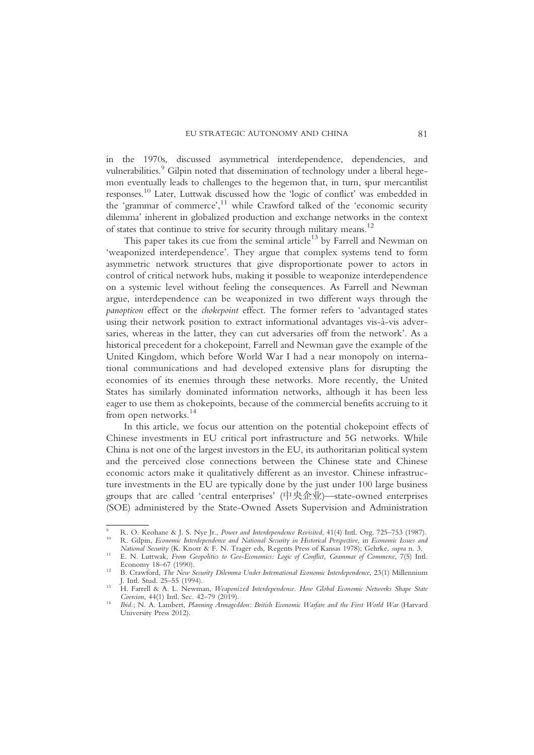in the 1970s, discussed asymmetrical interdependence, dependencies, and vulnerabilities.<sup>9</sup> Gilpin noted that dissemination of technology under a liberal hegemon eventually leads to challenges to the hegemon that, in turn, spur mercantilist responses. <sup>10</sup> Later, Luttwak discussed how the 'logic of conflict' was embedded in the 'grammar of commerce',<sup>11</sup> while Crawford talked of the 'economic security dilemma' inherent in globalized production and exchange networks in the context of states that continue to strive for security through military means.<sup>12</sup>

This paper takes its cue from the seminal article<sup>13</sup> by Farrell and Newman on 'weaponized interdependence'. They argue that complex systems tend to form asymmetric network structures that give disproportionate power to actors in control of critical network hubs, making it possible to weaponize interdependence on a systemic level without feeling the consequences. As Farrell and Newman argue, interdependence can be weaponized in two different ways through the panopticon effect or the chokepoint effect. The former refers to 'advantaged states using their network position to extract informational advantages vis-à-vis adversaries, whereas in the latter, they can cut adversaries off from the network'. As a historical precedent for a chokepoint, Farrell and Newman gave the example of the United Kingdom, which before World War I had a near monopoly on international communications and had developed extensive plans for disrupting the economies of its enemies through these networks. More recently, the United States has similarly dominated information networks, although it has been less eager to use them as chokepoints, because of the commercial benefits accruing to it from open networks.<sup>14</sup>

In this article, we focus our attention on the potential chokepoint effects of Chinese investments in EU critical port infrastructure and 5G networks. While China is not one of the largest investors in the EU, its authoritarian political system and the perceived close connections between the Chinese state and Chinese economic actors make it qualitatively different as an investor. Chinese infrastructure investments in the EU are typically done by the just under 100 large business groups that are called 'central enterprises' (中央企业)—state-owned enterprises (SOE) administered by the State-Owned Assets Supervision and Administration

<sup>&</sup>lt;sup>9</sup> R. O. Keohane & J. S. Nye Jr., *Power and Interdependence Revisited*, 41(4) Intl. Org. 725–753 (1987).<br><sup>10</sup> R. Gilpin, *Economic Interdependence and National Security in Historical Perspective*, in *Economic Issues and* 

<sup>&</sup>lt;sup>11</sup> E. N. Luttwak, From Geopolitics to Geo-Economics: Logic of Conflict, Grammar of Commerce, 7(5) Intl.<br>Economy 18–67 (1990).

<sup>&</sup>lt;sup>12</sup> B. Crawford, *The New Security Dilemma Under International Economic Interdependence*, 23(1) Millennium<br>J. Intl. Stud. 25–55 (1994).

H. Farrell & A. L. Newman, Weaponized Interdependence. How Global Economic Networks Shape State<br>Coercion. 44(1) Intl. Sec. 42–79 (2019).

Ibid.; N. A. Lambert, Planning Armageddon: British Economic Warfare and the First World War (Harvard University Press 2012).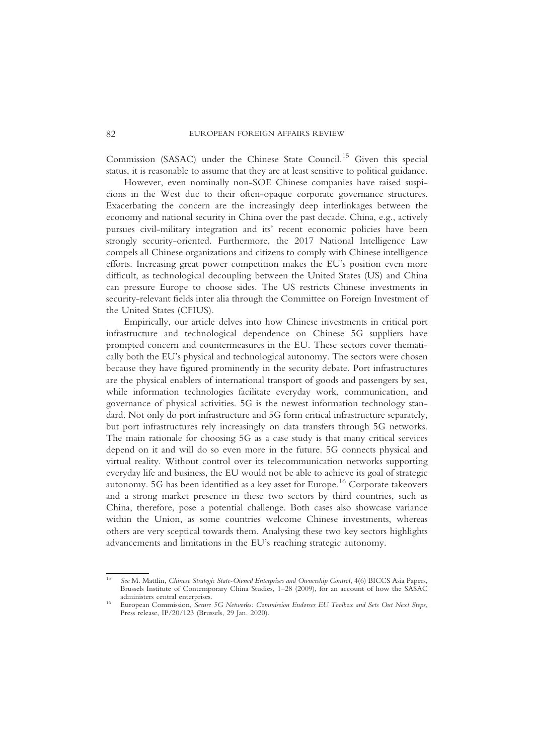Commission (SASAC) under the Chinese State Council.<sup>15</sup> Given this special status, it is reasonable to assume that they are at least sensitive to political guidance.

However, even nominally non-SOE Chinese companies have raised suspicions in the West due to their often-opaque corporate governance structures. Exacerbating the concern are the increasingly deep interlinkages between the economy and national security in China over the past decade. China, e.g., actively pursues civil-military integration and its' recent economic policies have been strongly security-oriented. Furthermore, the 2017 National Intelligence Law compels all Chinese organizations and citizens to comply with Chinese intelligence efforts. Increasing great power competition makes the EU's position even more difficult, as technological decoupling between the United States (US) and China can pressure Europe to choose sides. The US restricts Chinese investments in security-relevant fields inter alia through the Committee on Foreign Investment of the United States (CFIUS).

Empirically, our article delves into how Chinese investments in critical port infrastructure and technological dependence on Chinese 5G suppliers have prompted concern and countermeasures in the EU. These sectors cover thematically both the EU's physical and technological autonomy. The sectors were chosen because they have figured prominently in the security debate. Port infrastructures are the physical enablers of international transport of goods and passengers by sea, while information technologies facilitate everyday work, communication, and governance of physical activities. 5G is the newest information technology standard. Not only do port infrastructure and 5G form critical infrastructure separately, but port infrastructures rely increasingly on data transfers through 5G networks. The main rationale for choosing 5G as a case study is that many critical services depend on it and will do so even more in the future. 5G connects physical and virtual reality. Without control over its telecommunication networks supporting everyday life and business, the EU would not be able to achieve its goal of strategic autonomy. 5G has been identified as a key asset for Europe.<sup>16</sup> Corporate takeovers and a strong market presence in these two sectors by third countries, such as China, therefore, pose a potential challenge. Both cases also showcase variance within the Union, as some countries welcome Chinese investments, whereas others are very sceptical towards them. Analysing these two key sectors highlights advancements and limitations in the EU's reaching strategic autonomy.

See M. Mattlin, Chinese Strategic State-Owned Enterprises and Ownership Control, 4(6) BICCS Asia Papers, Brussels Institute of Contemporary China Studies, 1–28 (2009), for an account of how the SASAC administers central enterprises.

European Commission, Secure 5G Networks: Commission Endorses EU Toolbox and Sets Out Next Steps, Press release, IP/20/123 (Brussels, 29 Jan. 2020).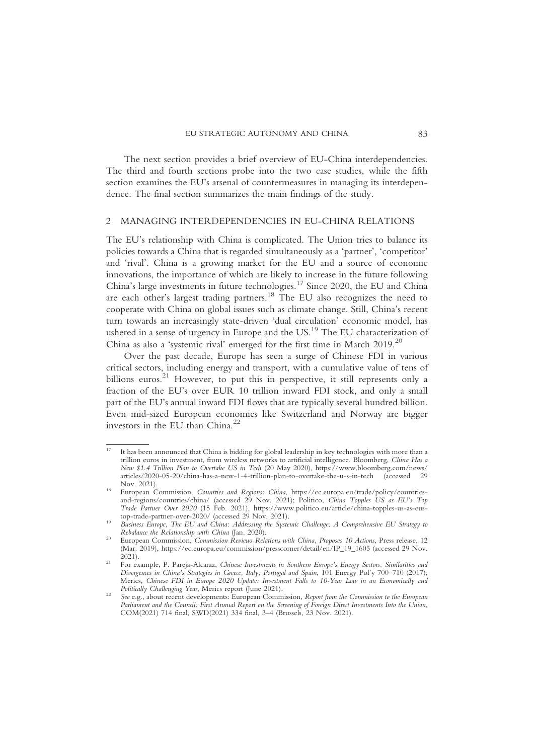The next section provides a brief overview of EU-China interdependencies. The third and fourth sections probe into the two case studies, while the fifth section examines the EU's arsenal of countermeasures in managing its interdependence. The final section summarizes the main findings of the study.

## 2 MANAGING INTERDEPENDENCIES IN EU-CHINA RELATIONS

The EU's relationship with China is complicated. The Union tries to balance its policies towards a China that is regarded simultaneously as a 'partner', 'competitor' and 'rival'. China is a growing market for the EU and a source of economic innovations, the importance of which are likely to increase in the future following China's large investments in future technologies.17 Since 2020, the EU and China are each other's largest trading partners.<sup>18</sup> The EU also recognizes the need to cooperate with China on global issues such as climate change. Still, China's recent turn towards an increasingly state-driven 'dual circulation' economic model, has ushered in a sense of urgency in Europe and the  $US<sup>19</sup>$  The EU characterization of China as also a 'systemic rival' emerged for the first time in March  $2019$ <sup>20</sup>

Over the past decade, Europe has seen a surge of Chinese FDI in various critical sectors, including energy and transport, with a cumulative value of tens of billions euros.<sup>21</sup> However, to put this in perspective, it still represents only a fraction of the EU's over EUR 10 trillion inward FDI stock, and only a small part of the EU's annual inward FDI flows that are typically several hundred billion. Even mid-sized European economies like Switzerland and Norway are bigger investors in the EU than China. $^{22}$ 

<sup>17</sup> It has been announced that China is bidding for global leadership in key technologies with more than a trillion euros in investment, from wireless networks to artificial intelligence. Bloomberg, China Has a New \$1.4 Trillion Plan to Overtake US in Tech (20 May 2020), https://www.bloomberg.com/news/ articles/2020-05-20/china-has-a-new-1-4-trillion-plan-to-overtake-the-u-s-in-tech (accessed 29 Nov. 2021). <sup>18</sup> European Commission, Countries and Regions: China, https://ec.europa.eu/trade/policy/countries-

and-regions/countries/china/ (accessed 29 Nov. 2021); Politico, China Topples US as EU's Top Trade Partner Over 2020 (15 Feb. 2021), https://www.politico.eu/article/china-topples-us-as-eus-

Business Europe, The EU and China: Addressing the Systemic Challenge: A Comprehensive EU Strategy to<br>Rebalance the Relationship with China (Jan. 2020).

European Commission, Commission Reviews Relations with China, Proposes 10 Actions, Press release, 12 (Mar. 2019), https://ec.europa.eu/commission/presscorner/detail/en/IP\_19\_1605 (accessed 29 Nov. 2021).<br>For example, P. Pareja-Alcaraz, Chinese Investments in Southern Europe's Energy Sectors: Similarities and

Divergences in China's Strategies in Greece, Italy, Portugal and Spain, 101 Energy Pol'y 700–710 (2017); Merics, Chinese FDI in Europe 2020 Update: Investment Falls to 10-Year Low in an Economically and<br>Politically Challenging Year, Merics report (June 2021).

See e.g., about recent developments: European Commission, Report from the Commission to the European Parliament and the Council: First Annual Report on the Screening of Foreign Direct Investments Into the Union, COM(2021) 714 final, SWD(2021) 334 final, 3–4 (Brussels, 23 Nov. 2021).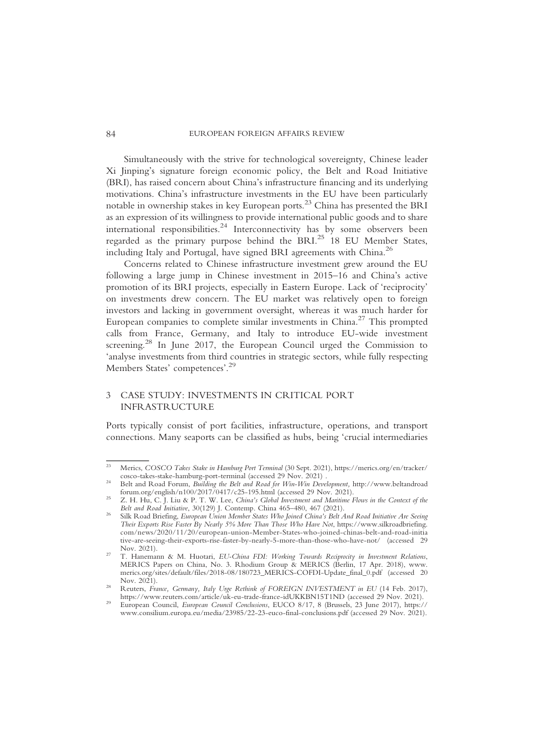Simultaneously with the strive for technological sovereignty, Chinese leader Xi Jinping's signature foreign economic policy, the Belt and Road Initiative (BRI), has raised concern about China's infrastructure financing and its underlying motivations. China's infrastructure investments in the EU have been particularly notable in ownership stakes in key European ports.<sup>23</sup> China has presented the BRI as an expression of its willingness to provide international public goods and to share international responsibilities.<sup>24</sup> Interconnectivity has by some observers been regarded as the primary purpose behind the BRI.<sup>25</sup> 18 EU Member States, including Italy and Portugal, have signed BRI agreements with China.<sup>26</sup>

Concerns related to Chinese infrastructure investment grew around the EU following a large jump in Chinese investment in 2015–16 and China's active promotion of its BRI projects, especially in Eastern Europe. Lack of 'reciprocity' on investments drew concern. The EU market was relatively open to foreign investors and lacking in government oversight, whereas it was much harder for European companies to complete similar investments in China.27 This prompted calls from France, Germany, and Italy to introduce EU-wide investment screening.<sup>28</sup> In June 2017, the European Council urged the Commission to 'analyse investments from third countries in strategic sectors, while fully respecting Members States' competences'.<sup>29</sup>

## 3 CASE STUDY: INVESTMENTS IN CRITICAL PORT INFRASTRUCTURE

Ports typically consist of port facilities, infrastructure, operations, and transport connections. Many seaports can be classified as hubs, being 'crucial intermediaries

<sup>&</sup>lt;sup>23</sup> Merics, COSCO Takes Stake in Hamburg Port Terminal (30 Sept. 2021), https://merics.org/en/tracker/<br>cosco-takes-stake-hamburg-port-terminal (accessed 29 Nov. 2021).

Belt and Road Forum, Building the Belt and Road for Win-Win Development, http://www.beltandroad

forum.org/english/n100/2017/0417/c25-195.html (accessed 29 Nov. 2021).<br>Z. H. Hu, C. J. Liu & P. T. W. Lee, *China's Global Investment and Maritime Flows in the Context of the*<br>*Belt and Road Initiative*, 30(129) J. Contemp

Silk Road Briefing, European Union Member States Who Joined China's Belt And Road Initiative Are Seeing Their Exports Rise Faster By Nearly 5% More Than Those Who Have Not, https://www.silkroadbriefing. com/news/2020/11/20/european-union-Member-States-who-joined-chinas-belt-and-road-initia tive-are-seeing-their-exports-rise-faster-by-nearly-5-more-than-those-who-have-not/ (accessed 29 Nov. 2021).<br><sup>27</sup> T. Hanemann & M. Huotari, *EU-China FDI: Working Towards Reciprocity in Investment Relations*,

MERICS Papers on China, No. 3. Rhodium Group & MERICS (Berlin, 17 Apr. 2018), www. merics.org/sites/default/files/2018-08/180723\_MERICS-COFDI-Update\_final\_0.pdf (accessed 20

Reuters, France, Germany, Italy Urge Rethink of FOREIGN INVESTMENT in EU (14 Feb. 2017), https://www.reuters.com/article/uk-eu-trade-france-idUKKBN15T1ND (accessed 29 Nov. 2021).

https://www.reutre-eurtrale-inducerity-induce-iduk-european-council, European Council, European Council, Conclusions, EUCO 8/17, 8 (Brussels, 23 June 2017), https:// www.consilium.europa.eu/media/23985/22-23-euco-final-conclusions.pdf (accessed 29 Nov. 2021).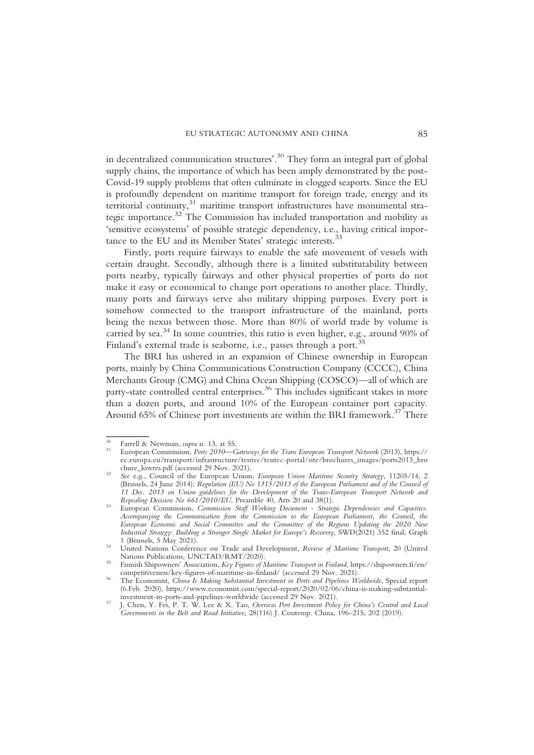in decentralized communication structures'. <sup>30</sup> They form an integral part of global supply chains, the importance of which has been amply demonstrated by the post-Covid-19 supply problems that often culminate in clogged seaports. Since the EU is profoundly dependent on maritime transport for foreign trade, energy and its territorial continuity,<sup>31</sup> maritime transport infrastructures have monumental strategic importance.32 The Commission has included transportation and mobility as 'sensitive ecosystems' of possible strategic dependency, i.e., having critical importance to the EU and its Member States' strategic interests.<sup>33</sup>

Firstly, ports require fairways to enable the safe movement of vessels with certain draught. Secondly, although there is a limited substitutability between ports nearby, typically fairways and other physical properties of ports do not make it easy or economical to change port operations to another place. Thirdly, many ports and fairways serve also military shipping purposes. Every port is somehow connected to the transport infrastructure of the mainland, ports being the nexus between those. More than 80% of world trade by volume is carried by sea.<sup>34</sup> In some countries, this ratio is even higher, e.g., around 90% of Finland's external trade is seaborne, i.e., passes through a port.

The BRI has ushered in an expansion of Chinese ownership in European ports, mainly by China Communications Construction Company (CCCC), China Merchants Group (CMG) and China Ocean Shipping (COSCO)—all of which are party-state controlled central enterprises.<sup>36</sup> This includes significant stakes in more than a dozen ports, and around 10% of the European container port capacity. Around 65% of Chinese port investments are within the BRI framework.<sup>37</sup> There

<sup>&</sup>lt;sup>30</sup> Farrell & Newman, *supra* n. 13, at 55.<br><sup>31</sup> European Commission, *Ports 2030—Gateways for the Trans European Transport Network (2013)*, https:// ec.europa.eu/transport/infrastructure/tentec/tentec-portal/site/brochures\_images/ports2013\_bro

See e.g., Council of the European Union, European Union Maritime Security Strategy, 11205/14, 2 (Brussels, 24 June 2014); Regulation (EU) No 1315/2013 of the European Parliament and of the Council of 11 Dec. 2013 on Union guidelines for the Development of the Trans-European Transport Network and

European Commission, Commission Staff Working Document - Strategic Dependencies and Capacities. Accompanying the Communication from the Commission to the European Parliament, the Council, the European Economic and Social Committee and the Committee of the Regions Updating the 2020 New Industrial Strategy: Building a Stronger Single Market for Europe's Recovery, SWD(2021) 352 final, Graph

United Nations Conference on Trade and Development, Review of Maritime Transport, 20 (United Nations Publications, UNCTAD/RMT/2020).

Finnish Shipowners' Association, Key Figures of Maritime Transport in Finland, https://shipowners.fi/en/<br>competitiveness/key-figures-of-maritime-in-finland/ (accessed 29 Nov. 2021).

The Economist, China Is Making Substantial Investment in Ports and Pipelines Worldwide, Special report (6.Feb. 2020), https://www.economist.com/special-report/2020/02/06/china-is-making-substantial-

J. Chen, Y. Fei, P. T. W. Lee & X. Tao, Overseas Port Investment Policy for China's Central and Local Governments in the Belt and Road Initiative, 28(116) J. Contemp. China, 196–215, 202 (2019).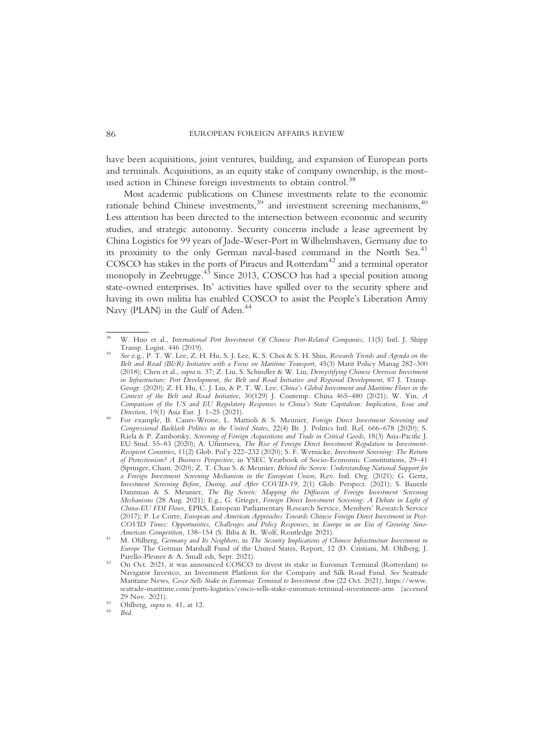have been acquisitions, joint ventures, building, and expansion of European ports and terminals. Acquisitions, as an equity stake of company ownership, is the mostused action in Chinese foreign investments to obtain control.<sup>38</sup>

Most academic publications on Chinese investments relate to the economic rationale behind Chinese investments,<sup>39</sup> and investment screening mechanisms,<sup>40</sup> Less attention has been directed to the intersection between economic and security studies, and strategic autonomy. Security concerns include a lease agreement by China Logistics for 99 years of Jade-Weser-Port in Wilhelmshaven, Germany due to its proximity to the only German naval-based command in the North Sea.<sup>41</sup> COSCO has stakes in the ports of Piraeus and Rotterdam<sup>42</sup> and a terminal operator monopoly in Zeebrugge.<sup>43</sup> Since 2013, COSCO has had a special position among state-owned enterprises. Its' activities have spilled over to the security sphere and having its own militia has enabled COSCO to assist the People's Liberation Army Navy (PLAN) in the Gulf of Aden.<sup>44</sup>

W. Huo et al., *International Port Investment Of Chinese Port-Related Companies*, 11(5) Intl. J. Shipp Transp. Logist. 446 (2019).

See e.g., P. T. W. Lee, Z. H. Hu, S. J. Lee, K. S. Choi & S. H. Shin, Research Trends and Agenda on the Belt and Road (B&R) Initiative with a Focus on Maritime Transport, 45(3) Marit Policy Manag 282–300 (2018); Chen et al., supra n. 37; Z. Liu, S. Schindler & W. Liu, Demystifying Chinese Overseas Investment in Infrastructure: Port Development, the Belt and Road Initiative and Regional Development, 87 J. Transp. Geogr. (2020); Z. H. Hu, C. J. Liu, & P. T. W. Lee, China's Global Investment and Maritime Flows in the Context of the Belt and Road Initiative, 30(129) J. Contemp. China 465–480 (2021); W. Yin, A Comparison of the US and EU Regulatory Responses to China's State Capitalism: Implication, Issue and Direction, 19(1) Asia Eur. J. 1–25 (2021).

For example, B. Canes-Wrone, L. Mattioli & S. Meunier, Foreign Direct Investment Screening and Congressional Backlash Politics in the United States, 22(4) Br. J. Politics Intl. Rel. 666–678 (2020); S. Riela & P. Zamborsky, Screening of Foreign Acquisitions and Trade in Critical Goods, 18(3) Asia-Pacific J. EU Stud. 55–83 (2020); A. Ufimtseva, The Rise of Foreign Direct Investment Regulation in Investment-Recipient Countries, 11(2) Glob. Pol'y 222–232 (2020); S. F. Wernicke, Investment Screening: The Return of Protectionism? A Business Perspective, in YSEC Yearbook of Socio-Economic Constitutions, 29–41 (Springer, Cham. 2020); Z. T. Chan S. & Meunier, Behind the Screen: Understanding National Support for a Foreign Investment Screening Mechanism in the European Union, Rev. Intl. Org. (2021); G. Gertz, Investment Screening Before, During, and After COVID-19, 2(1) Glob. Perspect. (2021); S. Bauerle Danzman & S. Meunier, The Big Screen: Mapping the Diffusion of Foreign Investment Screening Mechanisms (28 Aug. 2021); E.g., G. Grieger, Foreign Direct Investment Screening: A Debate in Light of China-EU FDI Flows, EPRS, European Parliamentary Research Service, Members' Research Service (2017); P. Le Corre, European and American Approaches Towards Chinese Foreign Direct Investment in Post-COVID Times: Opportunities, Challenges and Policy Responses, in Europe in an Era of Growing Sino-<br>American Competition, 138–154 (S. Biba & R. Wolf, Routledge 2021).

M. Ohlberg, Germany and Its Neighbors, in The Security Implications of Chinese Infrastructure Investment in Europe The German Marshall Fund of the United States, Report, 12 (D. Cristiani, M. Ohlberg, J.

On Oct. 2021, it was announced COSCO to divest its stake in Euromax Terminal (Rotterdam) to Navigator Investco, an Investment Platform for the Company and Silk Road Fund. See Seatrade Maritime News, Cosco Sells Stake in Euromax Terminal to Investment Arm (22 Oct. 2021), https://www. seatrade-maritime.com/ports-logistics/cosco-sells-stake-euromax-terminal-investment-arm (accessed

<sup>&</sup>lt;sup>43</sup> Ohlberg, *supra* n. 41, at 12.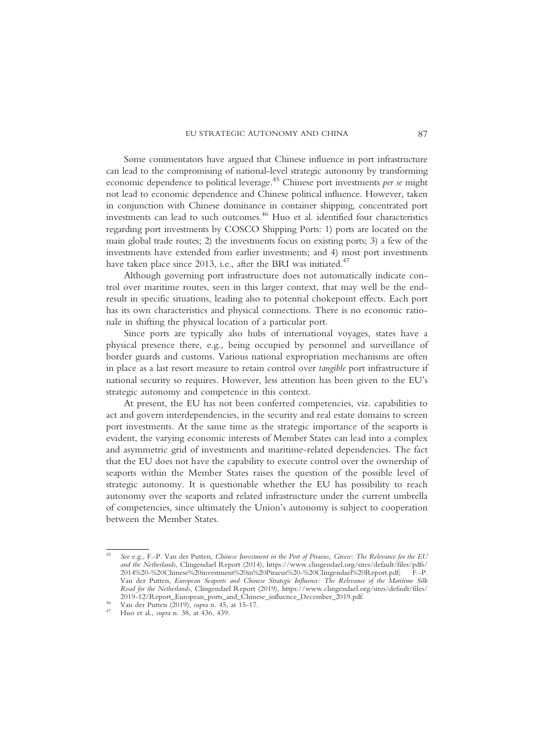Some commentators have argued that Chinese influence in port infrastructure can lead to the compromising of national-level strategic autonomy by transforming economic dependence to political leverage.<sup>45</sup> Chinese port investments *per se* might not lead to economic dependence and Chinese political influence. However, taken in conjunction with Chinese dominance in container shipping, concentrated port investments can lead to such outcomes.<sup>46</sup> Huo et al. identified four characteristics regarding port investments by COSCO Shipping Ports: 1) ports are located on the main global trade routes; 2) the investments focus on existing ports; 3) a few of the investments have extended from earlier investments; and 4) most port investments have taken place since 2013, i.e., after the BRI was initiated.<sup>47</sup>

Although governing port infrastructure does not automatically indicate control over maritime routes, seen in this larger context, that may well be the endresult in specific situations, leading also to potential chokepoint effects. Each port has its own characteristics and physical connections. There is no economic rationale in shifting the physical location of a particular port.

Since ports are typically also hubs of international voyages, states have a physical presence there, e.g., being occupied by personnel and surveillance of border guards and customs. Various national expropriation mechanisms are often in place as a last resort measure to retain control over tangible port infrastructure if national security so requires. However, less attention has been given to the EU's strategic autonomy and competence in this context.

At present, the EU has not been conferred competencies, viz. capabilities to act and govern interdependencies, in the security and real estate domains to screen port investments. At the same time as the strategic importance of the seaports is evident, the varying economic interests of Member States can lead into a complex and asymmetric grid of investments and maritime-related dependencies. The fact that the EU does not have the capability to execute control over the ownership of seaports within the Member States raises the question of the possible level of strategic autonomy. It is questionable whether the EU has possibility to reach autonomy over the seaports and related infrastructure under the current umbrella of competencies, since ultimately the Union's autonomy is subject to cooperation between the Member States.

<sup>&</sup>lt;sup>45</sup> See e.g., F.-P. Van der Putten, Chinese Investment in the Port of Piraeus, Greece: The Relevance for the EU and the Netherlands, Clingendael Report (2014), https://www.clingendael.org/sites/default/files/pdfs/ 2014%20-%20Chinese%20investment%20in%20Piraeus%20-%20Clingendael%20Report.pdf; F.-P. Van der Putten, European Seaports and Chinese Strategic Influence: The Relevance of the Maritime Silk Road for the Netherlands, Clingendael Report (2019), https://www.clingendael.org/sites/default/files/ 2019–12/Report\_European\_ports\_and\_Chinese\_influence\_December\_2019.pdf. Van der Putten (2019), supra n. 45, at 15-17. Huo et al., supra n. 38, at 436, 439.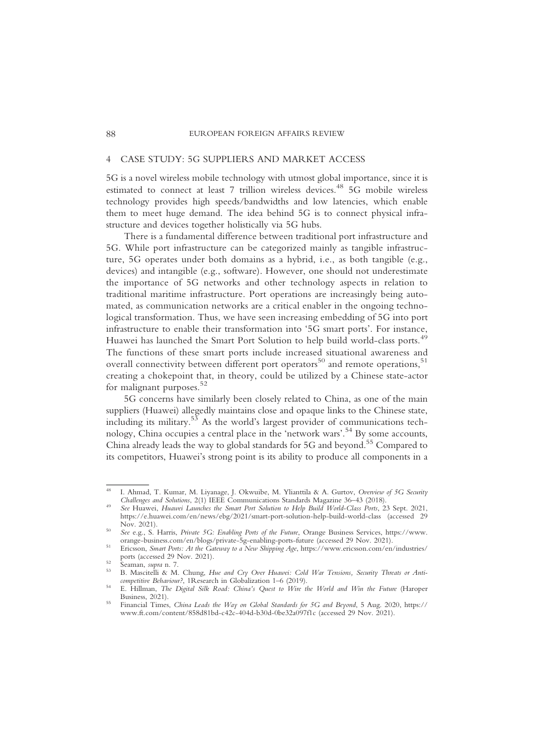## 4 CASE STUDY: 5G SUPPLIERS AND MARKET ACCESS

5G is a novel wireless mobile technology with utmost global importance, since it is estimated to connect at least 7 trillion wireless devices.<sup>48</sup> 5G mobile wireless technology provides high speeds/bandwidths and low latencies, which enable them to meet huge demand. The idea behind 5G is to connect physical infrastructure and devices together holistically via 5G hubs.

There is a fundamental difference between traditional port infrastructure and 5G. While port infrastructure can be categorized mainly as tangible infrastructure, 5G operates under both domains as a hybrid, i.e., as both tangible (e.g., devices) and intangible (e.g., software). However, one should not underestimate the importance of 5G networks and other technology aspects in relation to traditional maritime infrastructure. Port operations are increasingly being automated, as communication networks are a critical enabler in the ongoing technological transformation. Thus, we have seen increasing embedding of 5G into port infrastructure to enable their transformation into '5G smart ports'. For instance, Huawei has launched the Smart Port Solution to help build world-class ports.<sup>49</sup> The functions of these smart ports include increased situational awareness and overall connectivity between different port operators<sup>50</sup> and remote operations,<sup>51</sup> creating a chokepoint that, in theory, could be utilized by a Chinese state-actor for malignant purposes.<sup>52</sup>

5G concerns have similarly been closely related to China, as one of the main suppliers (Huawei) allegedly maintains close and opaque links to the Chinese state, including its military.<sup>53</sup> As the world's largest provider of communications technology, China occupies a central place in the 'network wars'. <sup>54</sup> By some accounts, China already leads the way to global standards for 5G and beyond.<sup>55</sup> Compared to its competitors, Huawei's strong point is its ability to produce all components in a

I. Ahmad, T. Kumar, M. Liyanage, J. Okwuibe, M. Ylianttila & A. Gurtov, Overview of 5G Security Challenges and Solutions, 2(1) IEEE Communications Standards Magazine 36-43 (2018).

See Huawei, Huawei Launches the Smart Port Solution to Help Build World-Class Ports, 23 Sept. 2021, https://e.huawei.com/en/news/ebg/2021/smart-port-solution-help-build-world-class (accessed 29

Nov. 2021).<br>See e.g., S. Harris, *Private 5G: Enabling Ports of the Future*, Orange Business Services, https://www.<br>orange-business.com/en/blogs/private-5g-enabling-ports-future (accessed 29 Nov. 2021).

Ericsson, Smart Ports: At the Gateway to a New Shipping Age, https://www.ericsson.com/en/industries/<br>ports (accessed 29 Nov. 2021).

<sup>&</sup>lt;sup>52</sup> Seaman, supra n. 7.<br><sup>53</sup> B. Mascitelli & M. Chung, *Hue and Cry Over Huawei: Cold War Tensions, Security Threats or Anti-*<br>*53* B. Mascitelli & M. Chung, *Hue and Cry Over Huawei: Cold War Tensions, Security Threats* 

E. Hillman, The Digital Silk Road: China's Quest to Wire the World and Win the Future (Haroper Business, 2021).

Financial Times, China Leads the Way on Global Standards for 5G and Beyond, 5 Aug. 2020, https:// www.ft.com/content/858d81bd-c42c-404d-b30d-0be32a097f1c (accessed 29 Nov. 2021).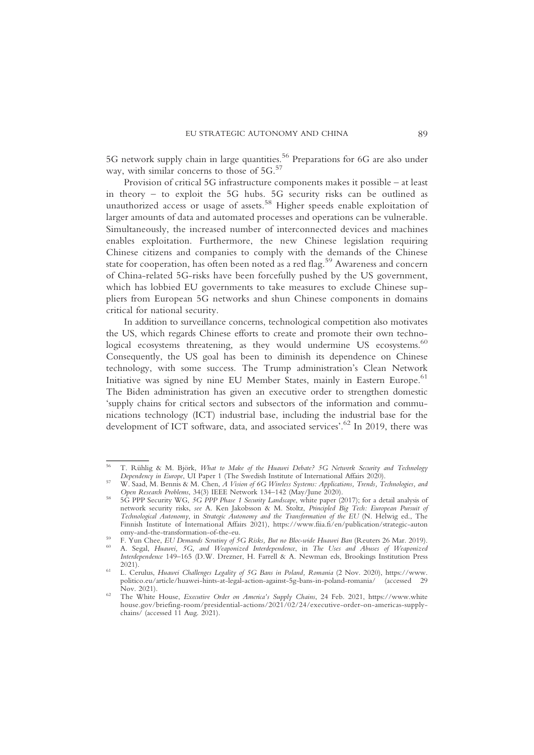5G network supply chain in large quantities.<sup>56</sup> Preparations for 6G are also under way, with similar concerns to those of  $5G<sub>0</sub>$ <sup>57</sup>

Provision of critical 5G infrastructure components makes it possible – at least in theory – to exploit the 5G hubs. 5G security risks can be outlined as unauthorized access or usage of assets.<sup>58</sup> Higher speeds enable exploitation of larger amounts of data and automated processes and operations can be vulnerable. Simultaneously, the increased number of interconnected devices and machines enables exploitation. Furthermore, the new Chinese legislation requiring Chinese citizens and companies to comply with the demands of the Chinese state for cooperation, has often been noted as a red flag.<sup>59</sup> Awareness and concern of China-related 5G-risks have been forcefully pushed by the US government, which has lobbied EU governments to take measures to exclude Chinese suppliers from European 5G networks and shun Chinese components in domains critical for national security.

In addition to surveillance concerns, technological competition also motivates the US, which regards Chinese efforts to create and promote their own technological ecosystems threatening, as they would undermine US ecosystems.<sup>60</sup> Consequently, the US goal has been to diminish its dependence on Chinese technology, with some success. The Trump administration's Clean Network Initiative was signed by nine EU Member States, mainly in Eastern Europe.<sup>61</sup> The Biden administration has given an executive order to strengthen domestic 'supply chains for critical sectors and subsectors of the information and communications technology (ICT) industrial base, including the industrial base for the development of ICT software, data, and associated services'. <sup>62</sup> In 2019, there was

T. Rühlig & M. Björk, What to Make of the Huawei Debate? 5G Network Security and Technology<br>Dependency in Europe, UI Paper 1 (The Swedish Institute of International Affairs 2020).

W. Saad, M. Bennis & M. Chen,  $\dot{A}$  Vision of 6G Wireless Systems: Applications, Trends, Technologies, and Open Research Problems, 34(3) IEEE Network 134–142 (May/June 2020).

<sup>5</sup>G PPP Security WG, 5G PPP Phase 1 Security Landscape, white paper (2017); for a detail analysis of network security risks, see A. Ken Jakobsson & M. Stoltz, Principled Big Tech: European Pursuit of Technological Autonomy, in Strategic Autonomy and the Transformation of the EU (N. Helwig ed., The Finnish Institute of International Affairs 2021), https://www.fiia.fi/en/publication/strategic-auton

omy-and-the-transformation-of-the-eu.<br><sup>59</sup> F. Yun Chee, *EU Demands Scrutiny of 5G Risks, But no Bloc-wide Huawei Ban (Reuters 26 Mar. 2019).*<br><sup>60</sup> A. Segal, *Huawei, 5G, and Weaponized Interdependence, in The Uses and Abu* Interdependence 149–165 (D.W. Drezner, H. Farrell & A. Newman eds, Brookings Institution Press 2021).<br>L. Cerulus, Huawei Challenges Legality of 5G Bans in Poland, Romania (2 Nov. 2020), https://www.

politico.eu/article/huawei-hints-at-legal-action-against-5g-bans-in-poland-romania/ (accessed 29

The White House, Executive Order on America's Supply Chains, 24 Feb. 2021, https://www.white house.gov/briefing-room/presidential-actions/2021/02/24/executive-order-on-americas-supplychains/ (accessed 11 Aug. 2021).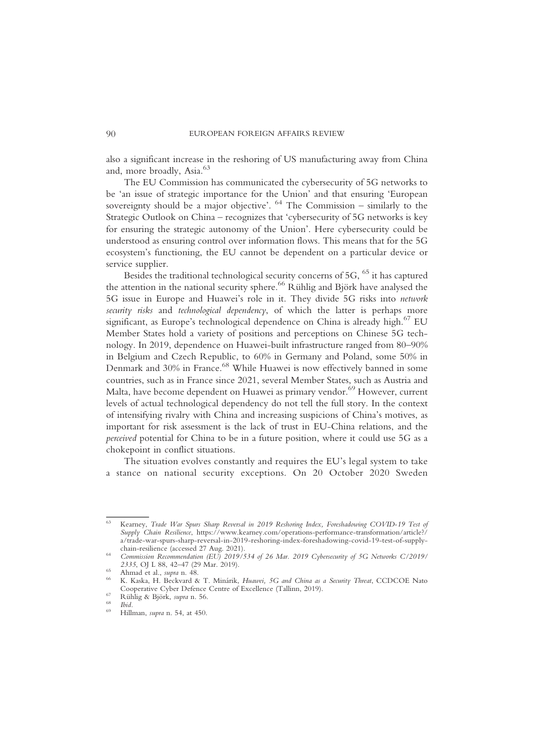also a significant increase in the reshoring of US manufacturing away from China and, more broadly, Asia.<sup>63</sup>

The EU Commission has communicated the cybersecurity of 5G networks to be 'an issue of strategic importance for the Union' and that ensuring 'European sovereignty should be a major objective'.  $64$  The Commission – similarly to the Strategic Outlook on China – recognizes that 'cybersecurity of 5G networks is key for ensuring the strategic autonomy of the Union'. Here cybersecurity could be understood as ensuring control over information flows. This means that for the 5G ecosystem's functioning, the EU cannot be dependent on a particular device or service supplier.

Besides the traditional technological security concerns of  $5G<sub>1</sub>$ <sup>65</sup> it has captured the attention in the national security sphere.<sup>66</sup> Rühlig and Björk have analysed the 5G issue in Europe and Huawei's role in it. They divide 5G risks into network security risks and technological dependency, of which the latter is perhaps more significant, as Europe's technological dependence on China is already high.<sup>67</sup> EU Member States hold a variety of positions and perceptions on Chinese 5G technology. In 2019, dependence on Huawei-built infrastructure ranged from 80–90% in Belgium and Czech Republic, to 60% in Germany and Poland, some 50% in Denmark and 30% in France.<sup>68</sup> While Huawei is now effectively banned in some countries, such as in France since 2021, several Member States, such as Austria and Malta, have become dependent on Huawei as primary vendor.<sup>69</sup> However, current levels of actual technological dependency do not tell the full story. In the context of intensifying rivalry with China and increasing suspicions of China's motives, as important for risk assessment is the lack of trust in EU-China relations, and the perceived potential for China to be in a future position, where it could use 5G as a chokepoint in conflict situations.

The situation evolves constantly and requires the EU's legal system to take a stance on national security exceptions. On 20 October 2020 Sweden

<sup>63</sup> Kearney, Trade War Spurs Sharp Reversal in 2019 Reshoring Index, Foreshadowing COVID-19 Test of Supply Chain Resilience, https://www.kearney.com/operations-performance-transformation/article?/ a/trade-war-spurs-sharp-reversal-in-2019-reshoring-index-foreshadowing-covid-19-test-of-supply-

chain-resilience (accessed 27 Aug. 2021).<br>64 Commission Recommendation (EU) 2019/534 of 26 Mar. 2019 Cybersecurity of 5G Networks C/2019/<br>2335, OJ L 88, 42–47 (29 Mar. 2019).

<sup>&</sup>lt;sup>65</sup> Ahmad et al., supra n. 48.<br><sup>66</sup> K. Kaska, H. Beckvard & T. Minárik, *Huawei, 5G and China as a Security Threat*, CCDCOE Nato Cooperative Cyber Defence Centre of Excellence (Tallinn, 2019).<br>
<sup>67</sup> Rühlig & Björk, *supra* n. 56.<br>
<sup>68</sup> Ibid.<br>
<sup>69</sup> Hillman, *supra* n. 54, at 450.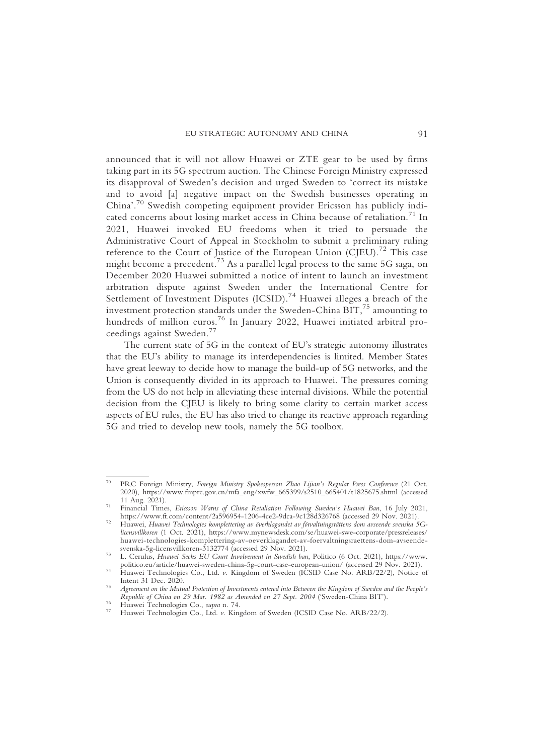announced that it will not allow Huawei or ZTE gear to be used by firms taking part in its 5G spectrum auction. The Chinese Foreign Ministry expressed its disapproval of Sweden's decision and urged Sweden to 'correct its mistake and to avoid [a] negative impact on the Swedish businesses operating in China'. <sup>70</sup> Swedish competing equipment provider Ericsson has publicly indicated concerns about losing market access in China because of retaliation.<sup>71</sup> In 2021, Huawei invoked EU freedoms when it tried to persuade the Administrative Court of Appeal in Stockholm to submit a preliminary ruling reference to the Court of Justice of the European Union (CJEU).<sup>72</sup> This case might become a precedent.<sup>73</sup> As a parallel legal process to the same 5G saga, on December 2020 Huawei submitted a notice of intent to launch an investment arbitration dispute against Sweden under the International Centre for Settlement of Investment Disputes  $(ICSID)$ .<sup>74</sup> Huawei alleges a breach of the investment protection standards under the Sweden-China BIT,<sup>75</sup> amounting to hundreds of million euros.<sup>76</sup> In January 2022, Huawei initiated arbitral proceedings against Sweden.<sup>77</sup>

The current state of 5G in the context of EU's strategic autonomy illustrates that the EU's ability to manage its interdependencies is limited. Member States have great leeway to decide how to manage the build-up of 5G networks, and the Union is consequently divided in its approach to Huawei. The pressures coming from the US do not help in alleviating these internal divisions. While the potential decision from the CJEU is likely to bring some clarity to certain market access aspects of EU rules, the EU has also tried to change its reactive approach regarding 5G and tried to develop new tools, namely the 5G toolbox.

PRC Foreign Ministry, Foreign Ministry Spokesperson Zhao Lijian's Regular Press Conference (21 Oct. 2020), https://www.fmprc.gov.cn/mfa\_eng/xwfw\_665399/s2510\_665401/t1825675.shtml (accessed

<sup>11</sup> Aug. 2021).<br>11 Aug. 2021).<br>71 Financial Times, *Ericsson Warns of China Retaliation Following Sweden's Huawei Ban*, 16 July 2021,<br>11 https://www.ft.com/content/2a596954-1206-4ce2-9dca-9c128d326768 (accessed 29 Nov. 2021

https://www.ft.com/content/2a596954-1206-4ce2-9dca-9c128d326768 (accessed 29 Nov. 2021). <sup>72</sup> Huawei, Huawei Technologies komplettering av överklagandet av förvaltningsrättens dom avseende svenska 5Glicensvillkoren (1 Oct. 2021), https://www.mynewsdesk.com/se/huawei-swe-corporate/pressreleases/ huawei-technologies-komplettering-av-oeverklagandet-av-foervaltningsraettens-dom-avseende-

<sup>&</sup>lt;sup>73</sup> L. Cerulus, *Huawei Seeks EU Court Involvement in Swedish ban*, Politico (6 Oct. 2021), https://www.<br>politico.eu/article/huawei-sweden-china-5g-court-case-european-union/ (accessed 29 Nov. 2021).

<sup>&</sup>lt;sup>74</sup> Huawei-Technologies-Co., Ltd. *v*. Kingdom of Sweden (ICSID Case No. ARB/22/2), Notice of Intent 31 Dec. 2020.

Agreement on the Mutual Protection of Investments entered into Between the Kingdom of Sweden and the People's<br>Republic of China on 29 Mar. 1982 as Amended on 27 Sept. 2004 ('Sweden-China BIT').

Huawei Technologies Co., *supra* n. 74.<br>Huawei Technologies Co., Ltd. *v.* Kingdom of Sweden (ICSID Case No. ARB/22/2).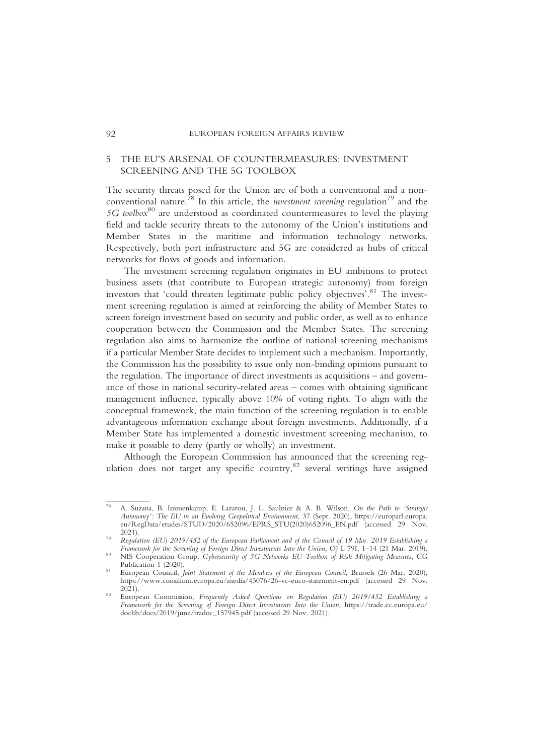# 5 THE EU'S ARSENAL OF COUNTERMEASURES: INVESTMENT SCREENING AND THE 5G TOOLBOX

The security threats posed for the Union are of both a conventional and a nonconventional nature.<sup>78</sup> In this article, the *investment screening* regulation<sup>79</sup> and the  $5G$  toolbox<sup>80</sup> are understood as coordinated countermeasures to level the playing field and tackle security threats to the autonomy of the Union's institutions and Member States in the maritime and information technology networks. Respectively, both port infrastructure and 5G are considered as hubs of critical networks for flows of goods and information.

The investment screening regulation originates in EU ambitions to protect business assets (that contribute to European strategic autonomy) from foreign investors that 'could threaten legitimate public policy objectives'. <sup>81</sup> The investment screening regulation is aimed at reinforcing the ability of Member States to screen foreign investment based on security and public order, as well as to enhance cooperation between the Commission and the Member States. The screening regulation also aims to harmonize the outline of national screening mechanisms if a particular Member State decides to implement such a mechanism. Importantly, the Commission has the possibility to issue only non-binding opinions pursuant to the regulation. The importance of direct investments as acquisitions – and governance of those in national security-related areas – comes with obtaining significant management influence, typically above 10% of voting rights. To align with the conceptual framework, the main function of the screening regulation is to enable advantageous information exchange about foreign investments. Additionally, if a Member State has implemented a domestic investment screening mechanism, to make it possible to deny (partly or wholly) an investment.

Although the European Commission has announced that the screening regulation does not target any specific country, $82$  several writings have assigned

<sup>78</sup> A. Suzana, B. Immenkamp, E. Lazarou, J. L. Saulnier & A. B. Wilson, On the Path to 'Strategic Autonomy': The EU in an Evolving Geopolitical Environment, 37 (Sept. 2020), https://europarl.europa. eu/RegData/etudes/STUD/2020/652096/EPRS\_STU(2020)652096\_EN.pdf (accessed 29 Nov. 2021).

Regulation (EU) 2019/452 of the European Parliament and of the Council of 19 Mar. 2019 Establishing a<br>Framework for the Screening of Foreign Direct Investments Into the Union, OJ L 79I, 1-14 (21 Mar. 2019).

Framework for the Screening Cybersecurity of 5G Networks EU Toolbox of Risk Mitigating Measures, CG Publication 1 (2020).

European Council, Joint Statement of the Members of the European Council, Brussels (26 Mar. 2020), https://www.consilium.europa.eu/media/43076/26-vc-euco-statement-en.pdf (accessed 29 Nov.

European Commission, Frequently Asked Questions on Regulation (EU) 2019/452 Establishing a Framework for the Screening of Foreign Direct Investments Into the Union, https://trade.ec.europa.eu/ doclib/docs/2019/june/tradoc\_157945.pdf (accessed 29 Nov. 2021).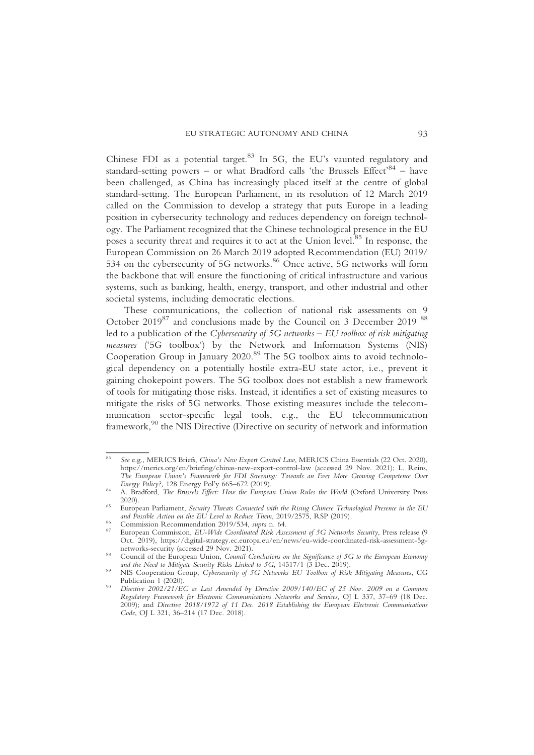Chinese FDI as a potential target.<sup>83</sup> In 5G, the EU's vaunted regulatory and standard-setting powers - or what Bradford calls 'the Brussels Effect'<sup>84</sup> - have been challenged, as China has increasingly placed itself at the centre of global standard-setting. The European Parliament, in its resolution of 12 March 2019 called on the Commission to develop a strategy that puts Europe in a leading position in cybersecurity technology and reduces dependency on foreign technology. The Parliament recognized that the Chinese technological presence in the EU poses a security threat and requires it to act at the Union level.85 In response, the European Commission on 26 March 2019 adopted Recommendation (EU) 2019/ 534 on the cybersecurity of 5G networks.<sup>86</sup> Once active, 5G networks will form the backbone that will ensure the functioning of critical infrastructure and various systems, such as banking, health, energy, transport, and other industrial and other societal systems, including democratic elections.

These communications, the collection of national risk assessments on 9 October 2019<sup>87</sup> and conclusions made by the Council on 3 December 2019<sup>88</sup> led to a publication of the Cybersecurity of 5G networks – EU toolbox of risk mitigating measures ('5G toolbox') by the Network and Information Systems (NIS) Cooperation Group in January 2020.<sup>89</sup> The 5G toolbox aims to avoid technological dependency on a potentially hostile extra-EU state actor, i.e., prevent it gaining chokepoint powers. The 5G toolbox does not establish a new framework of tools for mitigating those risks. Instead, it identifies a set of existing measures to mitigate the risks of 5G networks. Those existing measures include the telecommunication sector-specific legal tools, e.g., the EU telecommunication framework,<sup>90</sup> the NIS Directive (Directive on security of network and information

See e.g., MERICS Briefs, China's New Export Control Law, MERICS China Essentials (22 Oct. 2020), https://merics.org/en/briefing/chinas-new-export-control-law (accessed 29 Nov. 2021); L. Reins, The European Union's Framework for FDI Screening: Towards an Ever More Growing Competence Over<br>Energy Policy?, 128 Energy Pol'y 665–672 (2019).

A. Bradford, The Brussels Effect: How the European Union Rules the World (Oxford University Press

<sup>2020).&</sup>lt;br>European Parliament, *Security Threats Connected with the Rising Chinese Technological Presence in the EU*<br>*and Possible Action on the EU Level to Reduce Them,* 2019/2575, RSP (2019).

Commission Recommendation 2019/534, supra n. 64.<br>European Commission, EU-Wide Coordinated Risk Assessment of 5G Networks Security, Press release (9 Oct. 2019), https://digital-strategy.ec.europa.eu/en/news/eu-wide-coordinated-risk-assessment-5g-

networks-security (accessed 29 Nov. 2021).<br>
Council of the European Union, Council Conclusions on the Significance of 5G to the European Economy<br>
and the Need to Mitigate Security Risks Linked to 5G, 14517/1 (3 Dec. 2019).

NIS Cooperation Group, Cybersecurity of 5G Networks EU Toolbox of Risk Mitigating Measures, CG Publication 1 (2020).

Directive 2002/21/EC as Last Amended by Directive 2009/140/EC of 25 Nov. 2009 on a Common Regulatory Framework for Electronic Communications Networks and Services, OJ L 337, 37-69 (18 Dec. 2009); and Directive 2018/1972 of 11 Dec. 2018 Establishing the European Electronic Communications Code, OJ L 321, 36–214 (17 Dec. 2018).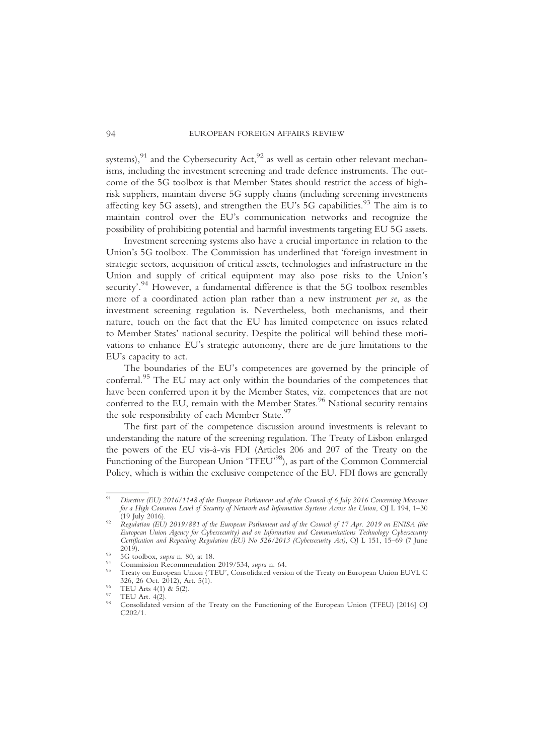systems), $91$  and the Cybersecurity Act, $92$  as well as certain other relevant mechanisms, including the investment screening and trade defence instruments. The outcome of the 5G toolbox is that Member States should restrict the access of highrisk suppliers, maintain diverse 5G supply chains (including screening investments affecting key 5G assets), and strengthen the EU's 5G capabilities.<sup>93</sup> The aim is to maintain control over the EU's communication networks and recognize the possibility of prohibiting potential and harmful investments targeting EU 5G assets.

Investment screening systems also have a crucial importance in relation to the Union's 5G toolbox. The Commission has underlined that 'foreign investment in strategic sectors, acquisition of critical assets, technologies and infrastructure in the Union and supply of critical equipment may also pose risks to the Union's security'.<sup>94</sup> However, a fundamental difference is that the 5G toolbox resembles more of a coordinated action plan rather than a new instrument per se, as the investment screening regulation is. Nevertheless, both mechanisms, and their nature, touch on the fact that the EU has limited competence on issues related to Member States' national security. Despite the political will behind these motivations to enhance EU's strategic autonomy, there are de jure limitations to the EU's capacity to act.

The boundaries of the EU's competences are governed by the principle of conferral.<sup>95</sup> The EU may act only within the boundaries of the competences that have been conferred upon it by the Member States, viz. competences that are not conferred to the EU, remain with the Member States.<sup>96</sup> National security remains the sole responsibility of each Member State.<sup>97</sup>

The first part of the competence discussion around investments is relevant to understanding the nature of the screening regulation. The Treaty of Lisbon enlarged the powers of the EU vis-à-vis FDI (Articles 206 and 207 of the Treaty on the Functioning of the European Union 'TFEU'<sup>98</sup>), as part of the Common Commercial Policy, which is within the exclusive competence of the EU. FDI flows are generally

Directive (EU) 2016/1148 of the European Parliament and of the Council of 6 July 2016 Concerning Measures for a High Common Level of Security of Network and Information Systems Across the Union, OJ L 194, 1–30<br>(19 July 2016).

Regulation (EU) 2019/881 of the European Parliament and of the Council of 17 Apr. 2019 on ENISA (the European Union Agency for Cybersecurity) and on Information and Communications Technology Cybersecurity Certification and Repealing Regulation (EU) No 526/2013 (Cybersecurity Act), OJ L 151, 15–69 (7 June

<sup>&</sup>lt;sup>93</sup> 5G toolbox, *supra* n. 80, at 18.<br><sup>94</sup> Commission Recommendation 2019/534, *supra* n. 64.<br><sup>95</sup> Treaty on European Union ('TEU', Consolidated version of the Treaty on European Union EUVL C<br>326, 26 Oct. 2012), Art. 5(1

<sup>&</sup>lt;sup>96</sup> TEU Arts 4(1) & 5(2).<br><sup>97</sup> TEU Art. 4(2).<br><sup>98</sup> Consolidated version of the Treaty on the Functioning of the European Union (TFEU) [2016] OI C202/1.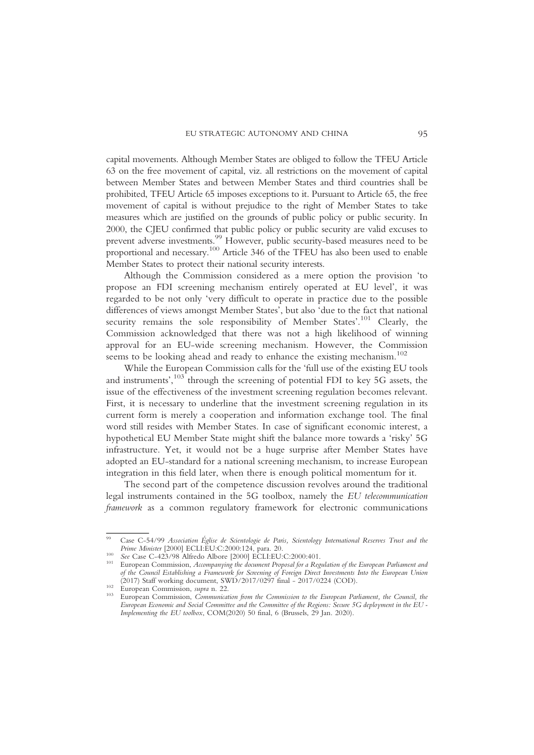capital movements. Although Member States are obliged to follow the TFEU Article 63 on the free movement of capital, viz. all restrictions on the movement of capital between Member States and between Member States and third countries shall be prohibited, TFEU Article 65 imposes exceptions to it. Pursuant to Article 65, the free movement of capital is without prejudice to the right of Member States to take measures which are justified on the grounds of public policy or public security. In 2000, the CJEU confirmed that public policy or public security are valid excuses to prevent adverse investments.<sup>99</sup> However, public security-based measures need to be proportional and necessary.<sup>100</sup> Article 346 of the TFEU has also been used to enable Member States to protect their national security interests.

Although the Commission considered as a mere option the provision 'to propose an FDI screening mechanism entirely operated at EU level', it was regarded to be not only 'very difficult to operate in practice due to the possible differences of views amongst Member States', but also 'due to the fact that national security remains the sole responsibility of Member States'.<sup>101</sup> Clearly, the Commission acknowledged that there was not a high likelihood of winning approval for an EU-wide screening mechanism. However, the Commission seems to be looking ahead and ready to enhance the existing mechanism.<sup>102</sup>

While the European Commission calls for the 'full use of the existing EU tools and instruments',  $^{103}$  through the screening of potential FDI to key 5G assets, the issue of the effectiveness of the investment screening regulation becomes relevant. First, it is necessary to underline that the investment screening regulation in its current form is merely a cooperation and information exchange tool. The final word still resides with Member States. In case of significant economic interest, a hypothetical EU Member State might shift the balance more towards a 'risky' 5G infrastructure. Yet, it would not be a huge surprise after Member States have adopted an EU-standard for a national screening mechanism, to increase European integration in this field later, when there is enough political momentum for it.

The second part of the competence discussion revolves around the traditional legal instruments contained in the 5G toolbox, namely the EU telecommunication framework as a common regulatory framework for electronic communications

Case C-54/99 Association Église de Scientologie de Paris, Scientology International Reserves Trust and the Prime Minister [2000] ECLI:EU:C:2000:124, para. 20.

Prime Minister [2000] ECLI:EU:C:2000:124, para. 20. <sup>100</sup> See Case C-423/98 Alfredo Albore [2000] ECLI:EU:C:2000:401. <sup>101</sup> European Commission, Accompanying the document Proposal for a Regulation of the European Parliament and of the Council Establishing a Framework for Screening of Foreign Direct Investments Into the European Union

<sup>(2017)</sup> Staff working document, SWD/2017/0297 final - 2017/0224 (COD).<br><sup>102</sup> European Commission, supra n. 22.<br><sup>103</sup> European Commission, *Communication from the Commission to the European Parliament, the Council, the* European Economic and Social Committee and the Committee of the Regions: Secure 5G deployment in the EU - Implementing the EU toolbox, COM(2020) 50 final, 6 (Brussels, 29 Jan. 2020).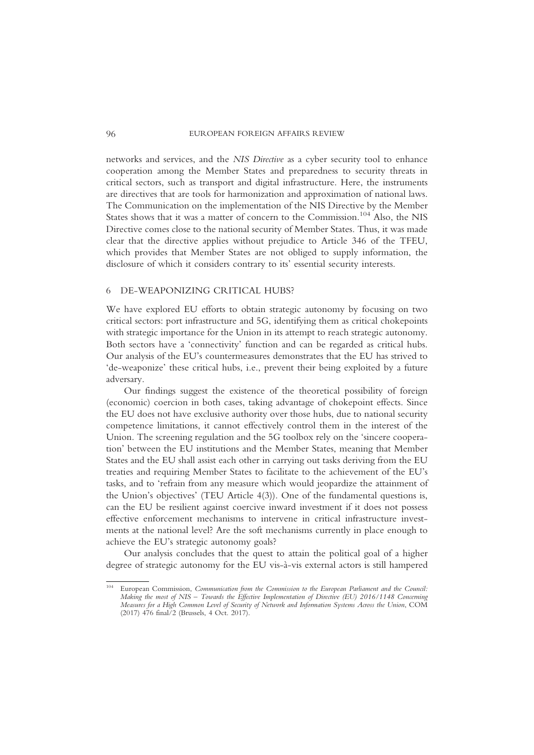networks and services, and the NIS Directive as a cyber security tool to enhance cooperation among the Member States and preparedness to security threats in critical sectors, such as transport and digital infrastructure. Here, the instruments are directives that are tools for harmonization and approximation of national laws. The Communication on the implementation of the NIS Directive by the Member States shows that it was a matter of concern to the Commission.<sup>104</sup> Also, the NIS Directive comes close to the national security of Member States. Thus, it was made clear that the directive applies without prejudice to Article 346 of the TFEU, which provides that Member States are not obliged to supply information, the disclosure of which it considers contrary to its' essential security interests.

# 6 DE-WEAPONIZING CRITICAL HUBS?

We have explored EU efforts to obtain strategic autonomy by focusing on two critical sectors: port infrastructure and 5G, identifying them as critical chokepoints with strategic importance for the Union in its attempt to reach strategic autonomy. Both sectors have a 'connectivity' function and can be regarded as critical hubs. Our analysis of the EU's countermeasures demonstrates that the EU has strived to 'de-weaponize' these critical hubs, i.e., prevent their being exploited by a future adversary.

Our findings suggest the existence of the theoretical possibility of foreign (economic) coercion in both cases, taking advantage of chokepoint effects. Since the EU does not have exclusive authority over those hubs, due to national security competence limitations, it cannot effectively control them in the interest of the Union. The screening regulation and the 5G toolbox rely on the 'sincere cooperation' between the EU institutions and the Member States, meaning that Member States and the EU shall assist each other in carrying out tasks deriving from the EU treaties and requiring Member States to facilitate to the achievement of the EU's tasks, and to 'refrain from any measure which would jeopardize the attainment of the Union's objectives' (TEU Article 4(3)). One of the fundamental questions is, can the EU be resilient against coercive inward investment if it does not possess effective enforcement mechanisms to intervene in critical infrastructure investments at the national level? Are the soft mechanisms currently in place enough to achieve the EU's strategic autonomy goals?

Our analysis concludes that the quest to attain the political goal of a higher degree of strategic autonomy for the EU vis-à-vis external actors is still hampered

European Commission, Communication from the Commission to the European Parliament and the Council: Making the most of NIS – Towards the Effective Implementation of Directive (EU) 2016/1148 Concerning Measures for a High Common Level of Security of Network and Information Systems Across the Union, COM (2017) 476 final/2 (Brussels, 4 Oct. 2017).